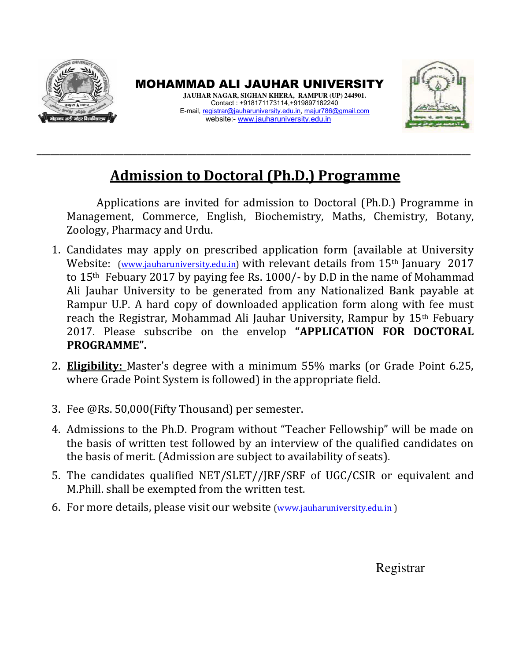

MOHAMMAD ALI JAUHAR UNIVERSITY **JAUHAR NAGAR, SIGHAN KHERA, RAMPUR (UP) 244901.**  Contact : +918171173114,+919897182240 E-mail, [registrar@jauharuniversity.edu.in,](mailto:registrar@jauharuniversity.edu.in) [majur786@gmail.com](mailto:Majur786@gmail.com)  website:- [www.jauharuniversity.edu.in](http://www.jauharuniversity.edu.in/)



## **Admission to Doctoral (Ph.D.) Programme**

**\_\_\_\_\_\_\_\_\_\_\_\_\_\_\_\_\_\_\_\_\_\_\_\_\_\_\_\_\_\_\_\_\_\_\_\_\_\_\_\_\_\_\_\_\_\_\_\_\_\_\_\_\_\_\_\_\_\_\_\_\_\_\_\_\_\_\_\_\_\_\_\_\_\_\_\_\_\_\_\_\_\_\_\_\_\_\_\_\_\_\_\_\_\_\_** 

Applications are invited for admission to Doctoral (Ph.D.) Programme in Management, Commerce, English, Biochemistry, Maths, Chemistry, Botany, Zoology, Pharmacy and Urdu.

- 1. Candidates may apply on prescribed application form (available at University Website: *[\(www.jauharuniversity.edu.in\)](http://www.jauharuniversity.edu.in/)* with relevant details from 15<sup>th</sup> January 2017 to 15th Febuary 2017 by paying fee Rs. 1000/- by D.D in the name of Mohammad Ali Jauhar University to be generated from any Nationalized Bank payable at Rampur U.P. A hard copy of downloaded application form along with fee must reach the Registrar, Mohammad Ali Jauhar University, Rampur by 15th Febuary 2017. Please subscribe on the envelop "APPLICATION FOR DOCTORAL PROGRAMME".
- 2. **Eligibility:** Master's degree with a minimum 55% marks (or Grade Point 6.25, where Grade Point System is followed) in the appropriate field.
- 3. Fee @Rs. 50,000(Fifty Thousand) per semester.
- 4. Admissions to the Ph.D. Program without "Teacher Fellowship" will be made on the basis of written test followed by an interview of the qualified candidates on the basis of merit. (Admission are subject to availability of seats).
- 5. The candidates qualified NET/SLET//JRF/SRF of UGC/CSIR or equivalent and M.Phill. shall be exempted from the written test.
- 6. For more details, please visit our website (www.jauharuniversity.edu.in)

Registrar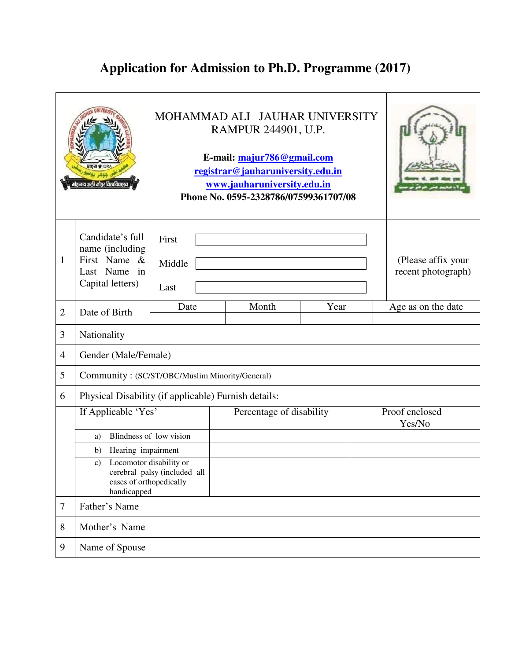## **Application for Admission to Ph.D. Programme (2017)**

|                |                                                                                         | MOHAMMAD ALI JAUHAR UNIVERSITY<br>RAMPUR 244901, U.P.<br>E-mail: majur786@gmail.com<br>registrar@jauharuniversity.edu.in<br>www.jauharuniversity.edu.in<br>Phone No. 0595-2328786/07599361707/08 |                          |                                          |  |  |  |
|----------------|-----------------------------------------------------------------------------------------|--------------------------------------------------------------------------------------------------------------------------------------------------------------------------------------------------|--------------------------|------------------------------------------|--|--|--|
| 1              | Candidate's full<br>name (including<br>First Name &<br>Last Name in<br>Capital letters) | First<br>Middle<br>Last                                                                                                                                                                          |                          | (Please affix your<br>recent photograph) |  |  |  |
| $\overline{2}$ | Date of Birth                                                                           | Date                                                                                                                                                                                             | Age as on the date       |                                          |  |  |  |
| 3              | Nationality                                                                             |                                                                                                                                                                                                  |                          |                                          |  |  |  |
| $\overline{4}$ | Gender (Male/Female)                                                                    |                                                                                                                                                                                                  |                          |                                          |  |  |  |
| 5              | Community: (SC/ST/OBC/Muslim Minority/General)                                          |                                                                                                                                                                                                  |                          |                                          |  |  |  |
| 6              | Physical Disability (if applicable) Furnish details:                                    |                                                                                                                                                                                                  |                          |                                          |  |  |  |
|                | If Applicable 'Yes'                                                                     |                                                                                                                                                                                                  | Percentage of disability | Proof enclosed<br>Yes/No                 |  |  |  |
|                | Blindness of low vision<br>a)                                                           |                                                                                                                                                                                                  |                          |                                          |  |  |  |
|                | b) Hearing impairment                                                                   |                                                                                                                                                                                                  |                          |                                          |  |  |  |
|                | Locomotor disability or<br>C)<br>cases of orthopedically<br>handicapped                 | cerebral palsy (included all                                                                                                                                                                     |                          |                                          |  |  |  |
| 7              | Father's Name                                                                           |                                                                                                                                                                                                  |                          |                                          |  |  |  |
| 8              | Mother's Name                                                                           |                                                                                                                                                                                                  |                          |                                          |  |  |  |
| 9              | Name of Spouse                                                                          |                                                                                                                                                                                                  |                          |                                          |  |  |  |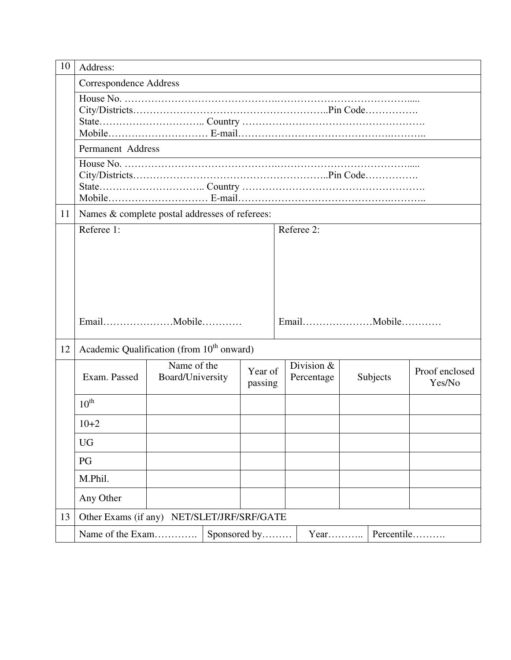| 10 | Address:                                              |                                 |  |                    |  |                            |  |          |                          |
|----|-------------------------------------------------------|---------------------------------|--|--------------------|--|----------------------------|--|----------|--------------------------|
|    | <b>Correspondence Address</b>                         |                                 |  |                    |  |                            |  |          |                          |
|    |                                                       |                                 |  |                    |  |                            |  |          |                          |
|    | Permanent Address                                     |                                 |  |                    |  |                            |  |          |                          |
|    |                                                       |                                 |  |                    |  |                            |  |          |                          |
| 11 | Names & complete postal addresses of referees:        |                                 |  |                    |  |                            |  |          |                          |
|    | Referee 1:                                            |                                 |  |                    |  | Referee 2:                 |  |          |                          |
|    |                                                       |                                 |  |                    |  |                            |  |          |                          |
| 12 | Academic Qualification (from 10 <sup>th</sup> onward) |                                 |  |                    |  |                            |  |          |                          |
|    | Exam. Passed                                          | Name of the<br>Board/University |  | Year of<br>passing |  | Division $&$<br>Percentage |  | Subjects | Proof enclosed<br>Yes/No |
|    | $10^{\text{th}}$                                      |                                 |  |                    |  |                            |  |          |                          |
|    | $10+2$                                                |                                 |  |                    |  |                            |  |          |                          |
|    | <b>UG</b>                                             |                                 |  |                    |  |                            |  |          |                          |
|    | PG                                                    |                                 |  |                    |  |                            |  |          |                          |
|    | M.Phil.                                               |                                 |  |                    |  |                            |  |          |                          |
|    | Any Other                                             |                                 |  |                    |  |                            |  |          |                          |
| 13 | Other Exams (if any) NET/SLET/JRF/SRF/GATE            |                                 |  |                    |  |                            |  |          |                          |
|    | Name of the Exam<br>Percentile<br>Sponsored by        |                                 |  |                    |  |                            |  |          |                          |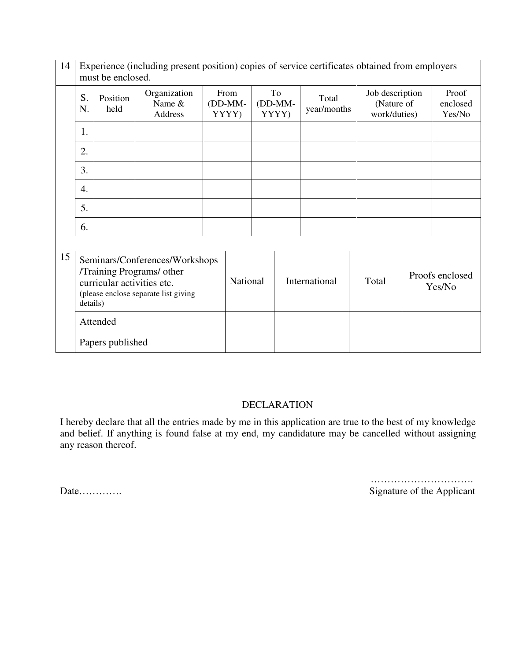| 14 | Experience (including present position) copies of service certificates obtained from employers<br>must be enclosed. |                                                                                                                                               |                                   |          |                            |                        |  |                      |                                               |  |                             |
|----|---------------------------------------------------------------------------------------------------------------------|-----------------------------------------------------------------------------------------------------------------------------------------------|-----------------------------------|----------|----------------------------|------------------------|--|----------------------|-----------------------------------------------|--|-----------------------------|
|    | S.<br>N.                                                                                                            | Position<br>held                                                                                                                              | Organization<br>Name &<br>Address |          | From<br>$(DD-MM-$<br>YYYY) | To<br>(DD-MM-<br>YYYY) |  | Total<br>year/months | Job description<br>(Nature of<br>work/duties) |  | Proof<br>enclosed<br>Yes/No |
|    | 1.                                                                                                                  |                                                                                                                                               |                                   |          |                            |                        |  |                      |                                               |  |                             |
|    | 2.                                                                                                                  |                                                                                                                                               |                                   |          |                            |                        |  |                      |                                               |  |                             |
|    | 3.                                                                                                                  |                                                                                                                                               |                                   |          |                            |                        |  |                      |                                               |  |                             |
|    | 4.                                                                                                                  |                                                                                                                                               |                                   |          |                            |                        |  |                      |                                               |  |                             |
|    | 5.                                                                                                                  |                                                                                                                                               |                                   |          |                            |                        |  |                      |                                               |  |                             |
|    | 6.                                                                                                                  |                                                                                                                                               |                                   |          |                            |                        |  |                      |                                               |  |                             |
|    |                                                                                                                     |                                                                                                                                               |                                   |          |                            |                        |  |                      |                                               |  |                             |
| 15 |                                                                                                                     | Seminars/Conferences/Workshops<br>/Training Programs/ other<br>curricular activities etc.<br>(please enclose separate list giving<br>details) |                                   | National |                            | International          |  | Total                | Proofs enclosed<br>Yes/No                     |  |                             |
|    |                                                                                                                     | Attended                                                                                                                                      |                                   |          |                            |                        |  |                      |                                               |  |                             |
|    | Papers published                                                                                                    |                                                                                                                                               |                                   |          |                            |                        |  |                      |                                               |  |                             |

## DECLARATION

I hereby declare that all the entries made by me in this application are true to the best of my knowledge and belief. If anything is found false at my end, my candidature may be cancelled without assigning any reason thereof.

 …………………………. Date…………. Signature of the Applicant